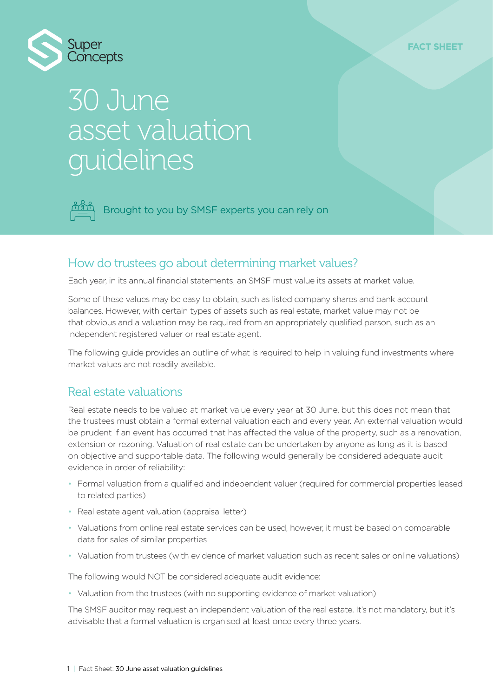

# 30 June asset valuation guidelines

Brought to you by SMSF experts you can rely on

#### How do trustees go about determining market values?

Each year, in its annual financial statements, an SMSF must value its assets at market value.

Some of these values may be easy to obtain, such as listed company shares and bank account balances. However, with certain types of assets such as real estate, market value may not be that obvious and a valuation may be required from an appropriately qualified person, such as an independent registered valuer or real estate agent.

The following guide provides an outline of what is required to help in valuing fund investments where market values are not readily available.

#### Real estate valuations

Real estate needs to be valued at market value every year at 30 June, but this does not mean that the trustees must obtain a formal external valuation each and every year. An external valuation would be prudent if an event has occurred that has affected the value of the property, such as a renovation, extension or rezoning. Valuation of real estate can be undertaken by anyone as long as it is based on objective and supportable data. The following would generally be considered adequate audit evidence in order of reliability:

- Formal valuation from a qualified and independent valuer (required for commercial properties leased to related parties)
- Real estate agent valuation (appraisal letter)
- Valuations from online real estate services can be used, however, it must be based on comparable data for sales of similar properties
- Valuation from trustees (with evidence of market valuation such as recent sales or online valuations)

The following would NOT be considered adequate audit evidence:

• Valuation from the trustees (with no supporting evidence of market valuation)

The SMSF auditor may request an independent valuation of the real estate. It's not mandatory, but it's advisable that a formal valuation is organised at least once every three years.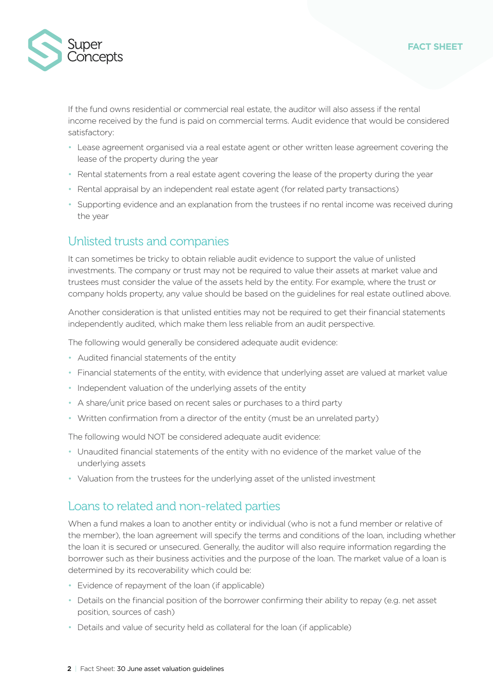

If the fund owns residential or commercial real estate, the auditor will also assess if the rental income received by the fund is paid on commercial terms. Audit evidence that would be considered satisfactory:

- Lease agreement organised via a real estate agent or other written lease agreement covering the lease of the property during the year
- Rental statements from a real estate agent covering the lease of the property during the year
- Rental appraisal by an independent real estate agent (for related party transactions)
- Supporting evidence and an explanation from the trustees if no rental income was received during the year

### Unlisted trusts and companies

It can sometimes be tricky to obtain reliable audit evidence to support the value of unlisted investments. The company or trust may not be required to value their assets at market value and trustees must consider the value of the assets held by the entity. For example, where the trust or company holds property, any value should be based on the guidelines for real estate outlined above.

Another consideration is that unlisted entities may not be required to get their financial statements independently audited, which make them less reliable from an audit perspective.

The following would generally be considered adequate audit evidence:

- Audited financial statements of the entity
- Financial statements of the entity, with evidence that underlying asset are valued at market value
- Independent valuation of the underlying assets of the entity
- A share/unit price based on recent sales or purchases to a third party
- Written confirmation from a director of the entity (must be an unrelated party)

The following would NOT be considered adequate audit evidence:

- Unaudited financial statements of the entity with no evidence of the market value of the underlying assets
- Valuation from the trustees for the underlying asset of the unlisted investment

#### Loans to related and non-related parties

When a fund makes a loan to another entity or individual (who is not a fund member or relative of the member), the loan agreement will specify the terms and conditions of the loan, including whether the loan it is secured or unsecured. Generally, the auditor will also require information regarding the borrower such as their business activities and the purpose of the loan. The market value of a loan is determined by its recoverability which could be:

- Evidence of repayment of the loan (if applicable)
- Details on the financial position of the borrower confirming their ability to repay (e.g. net asset position, sources of cash)
- Details and value of security held as collateral for the loan (if applicable)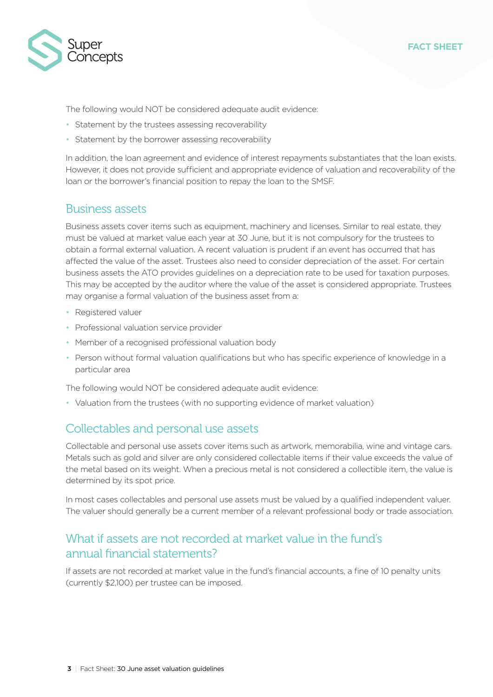

The following would NOT be considered adequate audit evidence:

- Statement by the trustees assessing recoverability
- Statement by the borrower assessing recoverability

In addition, the loan agreement and evidence of interest repayments substantiates that the loan exists. However, it does not provide sufficient and appropriate evidence of valuation and recoverability of the loan or the borrower's financial position to repay the loan to the SMSF.

#### Business assets

Business assets cover items such as equipment, machinery and licenses. Similar to real estate, they must be valued at market value each year at 30 June, but it is not compulsory for the trustees to obtain a formal external valuation. A recent valuation is prudent if an event has occurred that has affected the value of the asset. Trustees also need to consider depreciation of the asset. For certain business assets the ATO provides guidelines on a depreciation rate to be used for taxation purposes. This may be accepted by the auditor where the value of the asset is considered appropriate. Trustees may organise a formal valuation of the business asset from a:

- Registered valuer
- Professional valuation service provider
- Member of a recognised professional valuation body
- Person without formal valuation qualifications but who has specific experience of knowledge in a particular area

The following would NOT be considered adequate audit evidence:

• Valuation from the trustees (with no supporting evidence of market valuation)

#### Collectables and personal use assets

Collectable and personal use assets cover items such as artwork, memorabilia, wine and vintage cars. Metals such as gold and silver are only considered collectable items if their value exceeds the value of the metal based on its weight. When a precious metal is not considered a collectible item, the value is determined by its spot price.

In most cases collectables and personal use assets must be valued by a qualified independent valuer. The valuer should generally be a current member of a relevant professional body or trade association.

#### What if assets are not recorded at market value in the fund's annual financial statements?

If assets are not recorded at market value in the fund's financial accounts, a fine of 10 penalty units (currently \$2,100) per trustee can be imposed.